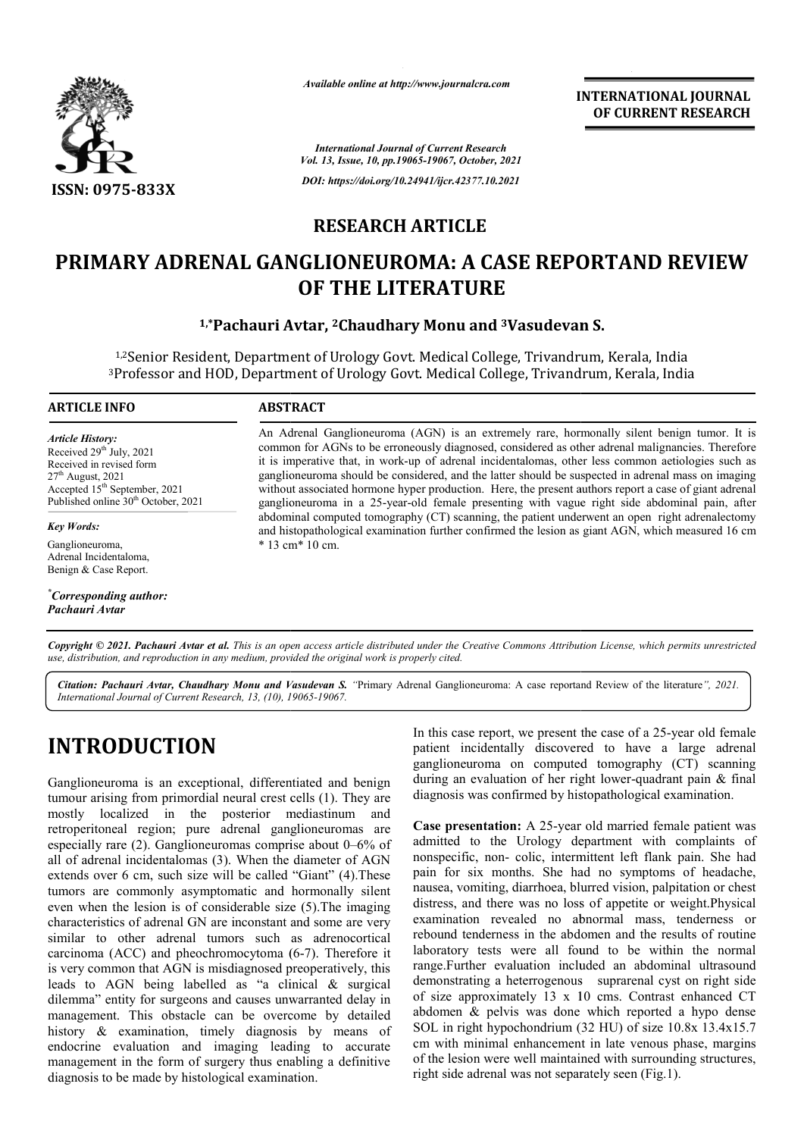

*Available online at http://www.journalcra.com*

**INTERNATIONAL JOURNAL OF CURRENT RESEARCH**

*International Journal of Current Research Vol. 13, Issue, 10, pp.19065-19067, October, 2021 DOI: https://doi.org/10.24941/ijcr.42377.10.2021*

### **RESEARCH ARTICLE**

# **PRIMARY ADRENAL GANGLIONEUROMA: A CASE REPORTAND REVIEW<br>OF THE LITERATURE<br><sup>1,\*</sup>Pachauri Avtar, <sup>2</sup>Chaudhary Monu and <sup>3</sup>Vasudevan S. OF THE LITERATURE**

### **1,\*Pachauri Avtar, Pachauri 2Chaudhary Monu and 3Vasudevan S.**

<sup>1,2</sup>Senior Resident, Department of Urology Govt. Medical College, Trivandrum, Kerala, India <sup>1,2</sup>Senior Resident, Department of Urology Govt. Medical College, Trivandrum, Kerala, India<br><sup>3</sup>Professor and HOD, Department of Urology Govt. Medical College, Trivandrum, Kerala, India

### **ARTICLE INFO ABSTRACT**

*Article History: Article History:* Received  $29<sup>th</sup>$  July,  $2021$ Received in revised form Received in revised form Received in revised form  $27<sup>th</sup>$  August, 2021 Accepted 15<sup>th</sup> September, 2021 Published online 30<sup>th</sup> October, 2021

*Key Words:*

Ganglioneuroma, Adrenal Incidentaloma, Benign & Case Report.

*\* Corresponding author: Pachauri Avtar*

An Adrenal Ganglioneuroma (AGN) is an extremely rare, hormonally silent benign tumor. It is common for AGNs to be erroneously diagnosed, considered as other adrenal malignancies. Therefore it is imperative that, in work-up of adrenal incidentalomas, other less common aetiologies such as ganglioneuroma should be considered, and the latter should be suspected in adrenal mass on imaging without associated hormone hyper production. Here, the present authors report a case of giant adrenal ganglioneuroma in a 25 25-year-old female presenting with vague right side abdominal pain, abdominal computed tomography (CT) scanning, the patient underwent an open right adrenalectomy abdominal computed tomography (CT) scanning, the patient underwent an open right adrenalectomy<br>and histopathological examination further confirmed the lesion as giant AGN, which measured 16 cm  $* 13 cm * 10 cm$ ganglioneuroma should be considered, and the latter should be suspected in adrenal mass on imaging<br>without associated hormone hyper production. Here, the present authors report a case of giant adrenal<br>ganglioneuroma in a 2

Copyright © 2021. Pachauri Avtar et al. This is an open access article distributed under the Creative Commons Attribution License, which permits unrestricted *use, distribution, and reproduction in any medium, provided the original work is properly cited.*

Citation: Pachauri Avtar, Chaudhary Monu and Vasudevan S. "Primary Adrenal Ganglioneuroma: A case reportand Review of the literature", 2021. *International Journal of Current Research, 13, (10), 19065 19065-19067.*

## **INTRODUCTION**

Ganglioneuroma is an exceptional, differentiated and benign tumour arising from primordial neural crest cells (1). They are mostly localized in the posterior mediastinum and retroperitoneal region; pure adrenal ganglioneuromas are especially rare (2). Ganglioneuromas comprise about 0–6% of all of adrenal incidentalomas (3). When the diameter of AGN extends over 6 cm, such size will be called "Giant" (4). These tumors are commonly asymptomatic and hormonally silent even when the lesion is of considerable size (5). The imaging characteristics of adrenal GN are inconstant and some are very similar to other adrenal tumors such as adrenocortical carcinoma (ACC) and pheochromocytoma (6-7). Therefore it is very common that AGN is misdiagnosed preoperatively, this leads to AGN being labelled as "a clinical & surgical dilemma" entity for surgeons and causes unwarranted delay in management. This obstacle can be overcome by detailed history & examination, timely diagnosis by means of endocrine evaluation and imaging leading to accurate management in the form of surgery thus enabling a definitive diagnosis to be made by histological examination. y common that AGN is misdiagnosed proto AGN being labelled as "a clinima" entity for surgeons and causes unwagement. This obstacle can be overco y & examination, timely diagnosis

In this case report, we present the case of a 25-year old female patient incidentally discovered to have a large adrenal ganglioneuroma on computed tomography (CT) scanning during an evaluation of her right lower-quadrant pain & final diagnosis was confirmed by histopathological examination. patient incidentally discovered to have a large adrenal ganglioneuroma on computed tomography (CT) scanning during an evaluation of her right lower-quadrant pain & final

**Case presentation:** A 25-year old married female patient was admitted to the Urology department with complaints of nonspecific, non- colic, intermittent left flank pain. She had pain for six months. She had no symptoms of headache, nausea, vomiting, diarrhoea, blurred vision, palpita distress, and there was no loss of appetite or weight.Physical examination revealed no abnormal mass, tenderness or distress, and there was no loss of appetite or weight.Physical examination revealed no abnormal mass, tenderness or rebound tenderness in the abdomen and the results of routine laboratory tests were all found to be within the normal range.Further evaluation included an abdominal ultrasound demonstrating a heterrogenous suprarenal cyst on right side of size approximately 13 x 10 cms. Contrast enhanced CT abdomen & pelvis was done which reported a hypo dense SOL in right hypochondrium (32 HU) of size 10.8x 13.4x15.7 cm with minimal enhancement in late venous phase, margins of the lesion were well maintained with surrounding structures, right side adrenal was not separately seen (Fig.1). **EXECT:** A 25-year old married female patient was Urology department with complaints of colic, intermittent left flank pain. She had ths. She had no symptoms of headache, iliarrhoea, blurred vision, palpitation or chest **EXERCT TONAL FOURNAL FOURNAL OF CURRENT RESEARCH**<br> **Research**<br> **Research**<br> **Research**<br> **Research**<br> **Research**<br> **RESE REPORTAND REVIEW**<br> **LEE**<br> **RESE REPORTAND REVIEW**<br> **URE**<br> **RESE REPORTAND REVIEW**<br> **URE**<br> **RESE REPORTA**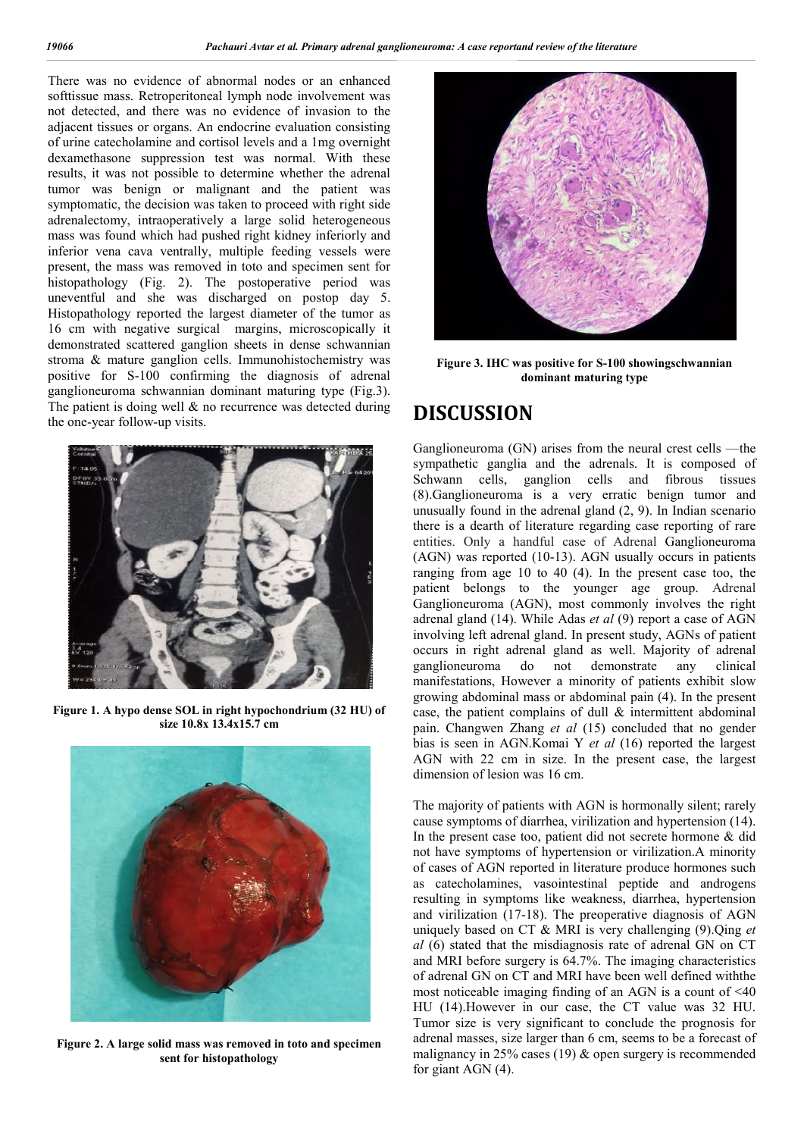There was no evidence of abnormal nodes or an enhanced softtissue mass. Retroperitoneal lymph node involvement was not detected, and there was no evidence of invasion to the adjacent tissues or organs. An endocrine evaluation consisting of urine catecholamine and cortisol levels and a 1mg overnight dexamethasone suppression test was normal. With these results, it was not possible to determine whether the adrenal tumor was benign or malignant and the patient was symptomatic, the decision was taken to proceed with right side adrenalectomy, intraoperatively a large solid heterogeneous mass was found which had pushed right kidney inferiorly and inferior vena cava ventrally, multiple feeding vessels were present, the mass was removed in toto and specimen sent for histopathology (Fig. 2). The postoperative period was uneventful and she was discharged on postop day 5. Histopathology reported the largest diameter of the tumor as 16 cm with negative surgical margins, microscopically it demonstrated scattered ganglion sheets in dense schwannian stroma & mature ganglion cells. Immunohistochemistry was positive for S-100 confirming the diagnosis of adrenal ganglioneuroma schwannian dominant maturing type (Fig.3). The patient is doing well  $\&$  no recurrence was detected during the one-year follow-up visits.



**Figure 1. A hypo dense SOL in right hypochondrium (32 HU) of size 10.8x 13.4x15.7 cm**



**Figure 2. A large solid mass was removed in toto and specimen sent for histopathology**



**Figure 3. IHC was positive for S-100 showingschwannian dominant maturing type**

### **DISCUSSION**

Ganglioneuroma (GN) arises from the neural crest cells —the sympathetic ganglia and the adrenals. It is composed of Schwann cells, ganglion cells and fibrous tissues (8).Ganglioneuroma is a very erratic benign tumor and unusually found in the adrenal gland (2, 9). In Indian scenario there is a dearth of literature regarding case reporting of rare entities. Only a handful case of Adrenal Ganglioneuroma (AGN) was reported (10-13). AGN usually occurs in patients ranging from age 10 to 40 (4). In the present case too, the patient belongs to the younger age group. Adrenal Ganglioneuroma (AGN), most commonly involves the right adrenal gland (14). While Adas *et al* (9) report a case of AGN involving left adrenal gland. In present study, AGNs of patient occurs in right adrenal gland as well. Majority of adrenal ganglioneuroma do not demonstrate any clinical manifestations, However a minority of patients exhibit slow growing abdominal mass or abdominal pain (4). In the present case, the patient complains of dull & intermittent abdominal pain. Changwen Zhang *et al* (15) concluded that no gender bias is seen in AGN.Komai Y *et al* (16) reported the largest AGN with 22 cm in size. In the present case, the largest dimension of lesion was 16 cm.

The majority of patients with AGN is hormonally silent; rarely cause symptoms of diarrhea, virilization and hypertension (14). In the present case too, patient did not secrete hormone & did not have symptoms of hypertension or virilization.A minority of cases of AGN reported in literature produce hormones such as catecholamines, vasointestinal peptide and androgens resulting in symptoms like weakness, diarrhea, hypertension and virilization (17-18). The preoperative diagnosis of AGN uniquely based on CT & MRI is very challenging (9).Qing *et al* (6) stated that the misdiagnosis rate of adrenal GN on CT and MRI before surgery is 64.7%. The imaging characteristics of adrenal GN on CT and MRI have been well defined withthe most noticeable imaging finding of an AGN is a count of <40 HU (14).However in our case, the CT value was 32 HU. Tumor size is very significant to conclude the prognosis for adrenal masses, size larger than 6 cm, seems to be a forecast of malignancy in 25% cases (19) & open surgery is recommended for giant AGN (4).